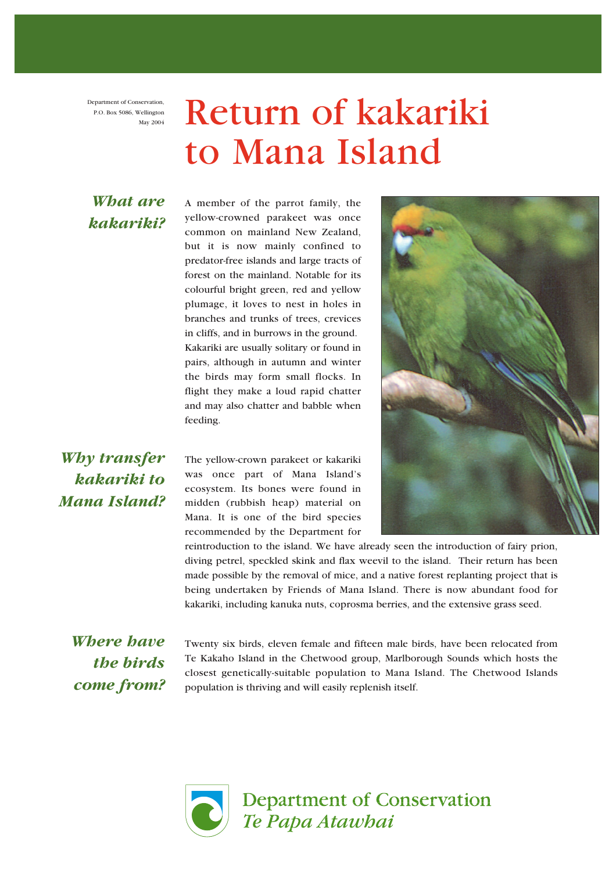Department of Conservation, P.O. Box 5086, Wellington May 2004

# Return of kakariki to Mana Island

#### *What are kakariki?*

A member of the parrot family, the yellow-crowned parakeet was once common on mainland New Zealand, but it is now mainly confined to predator-free islands and large tracts of forest on the mainland. Notable for its colourful bright green, red and yellow plumage, it loves to nest in holes in branches and trunks of trees, crevices in cliffs, and in burrows in the ground. Kakariki are usually solitary or found in pairs, although in autumn and winter the birds may form small flocks. In flight they make a loud rapid chatter and may also chatter and babble when feeding.

### *Why transfer kakariki to Mana Island?*

The yellow-crown parakeet or kakariki was once part of Mana Island's ecosystem. Its bones were found in midden (rubbish heap) material on Mana. It is one of the bird species recommended by the Department for



reintroduction to the island. We have already seen the introduction of fairy prion, diving petrel, speckled skink and flax weevil to the island. Their return has been made possible by the removal of mice, and a native forest replanting project that is being undertaken by Friends of Mana Island. There is now abundant food for kakariki, including kanuka nuts, coprosma berries, and the extensive grass seed.

*Where have the birds come from?*

Twenty six birds, eleven female and fifteen male birds, have been relocated from Te Kakaho Island in the Chetwood group, Marlborough Sounds which hosts the closest genetically-suitable population to Mana Island. The Chetwood Islands population is thriving and will easily replenish itself.



**Department of Conservation** Te Papa Atawhai